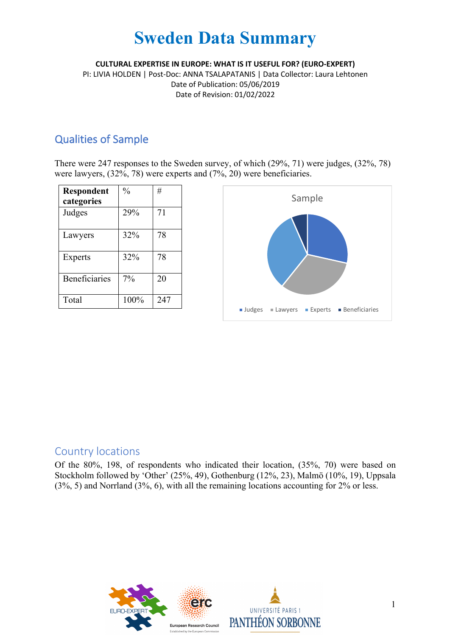**CULTURAL EXPERTISE IN EUROPE: WHAT IS IT USEFUL FOR? (EURO-EXPERT)**

PI: LIVIA HOLDEN | Post-Doc: ANNA TSALAPATANIS | Data Collector: Laura Lehtonen Date of Publication: 05/06/2019 Date of Revision: 01/02/2022

### Qualities of Sample

There were 247 responses to the Sweden survey, of which (29%, 71) were judges, (32%, 78) were lawyers, (32%, 78) were experts and (7%, 20) were beneficiaries.

| Respondent           | $\frac{0}{0}$ | #   |
|----------------------|---------------|-----|
| categories           |               |     |
| Judges               | 29%           | 71  |
| Lawyers              | 32%           | 78  |
| <b>Experts</b>       | 32%           | 78  |
| <b>Beneficiaries</b> | 7%            | 20  |
| Total                | 100%          | 247 |



### Country locations

Of the 80%, 198, of respondents who indicated their location, (35%, 70) were based on Stockholm followed by 'Other' (25%, 49), Gothenburg (12%, 23), Malmö (10%, 19), Uppsala (3%, 5) and Norrland (3%, 6), with all the remaining locations accounting for 2% or less.

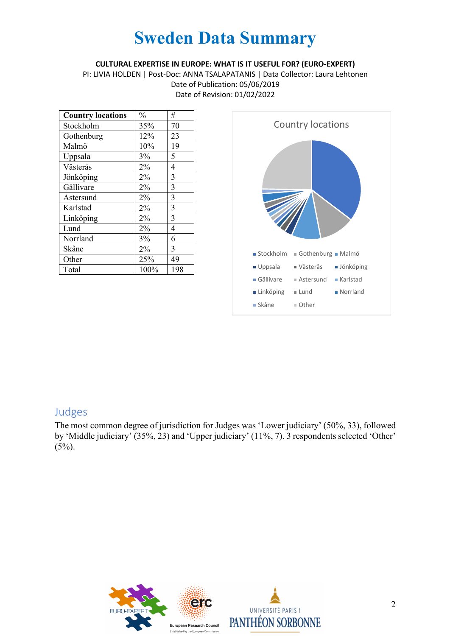#### **CULTURAL EXPERTISE IN EUROPE: WHAT IS IT USEFUL FOR? (EURO-EXPERT)**

PI: LIVIA HOLDEN | Post-Doc: ANNA TSALAPATANIS | Data Collector: Laura Lehtonen Date of Publication: 05/06/2019 Date of Revision: 01/02/2022

| <b>Country locations</b> | $\frac{0}{0}$ | #              |
|--------------------------|---------------|----------------|
| Stockholm                | 35%           | 70             |
| Gothenburg               | 12%           | 23             |
| Malmö                    | 10%           | 19             |
| Uppsala                  | 3%            | 5              |
| Västerås                 | 2%            | $\overline{4}$ |
| Jönköping                | 2%            | 3              |
| Gällivare                | $2\%$         | 3              |
| Astersund                | 2%            | 3              |
| Karlstad                 | 2%            | $\overline{3}$ |
| Linköping                | 2%            | 3              |
| Lund                     | 2%            | 4              |
| Norrland                 | 3%            | 6              |
| Skåne                    | 2%            | 3              |
| Other                    | 25%           | 49             |
| Total                    | 100%          | 198            |



### Judges

The most common degree of jurisdiction for Judges was 'Lower judiciary' (50%, 33), followed by 'Middle judiciary' (35%, 23) and 'Upper judiciary' (11%, 7). 3 respondents selected 'Other'  $(5\%)$ .

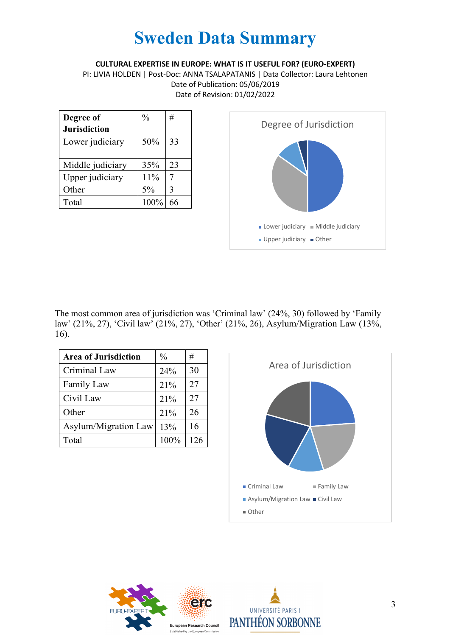**CULTURAL EXPERTISE IN EUROPE: WHAT IS IT USEFUL FOR? (EURO-EXPERT)**

PI: LIVIA HOLDEN | Post-Doc: ANNA TSALAPATANIS | Data Collector: Laura Lehtonen Date of Publication: 05/06/2019 Date of Revision: 01/02/2022

| Degree of<br><b>Jurisdiction</b> | $\frac{0}{0}$ | #  |
|----------------------------------|---------------|----|
| Lower judiciary                  | 50%           | 33 |
| Middle judiciary                 | 35%           | 23 |
| Upper judiciary                  | 11%           |    |
| Other                            | 5%            | 3  |
| Total                            | 100%          | 66 |



The most common area of jurisdiction was 'Criminal law' (24%, 30) followed by 'Family law' (21%, 27), 'Civil law' (21%, 27), 'Other' (21%, 26), Asylum/Migration Law (13%, 16).

| <b>Area of Jurisdiction</b> | $\frac{0}{0}$ | #   |
|-----------------------------|---------------|-----|
| Criminal Law                | 24%           | 30  |
| <b>Family Law</b>           | 21%           | 27  |
| Civil Law                   | 21%           | 27  |
| Other                       | 21%           | 26  |
| Asylum/Migration Law        | 13%           | 16  |
| Total                       | 100%          | 126 |





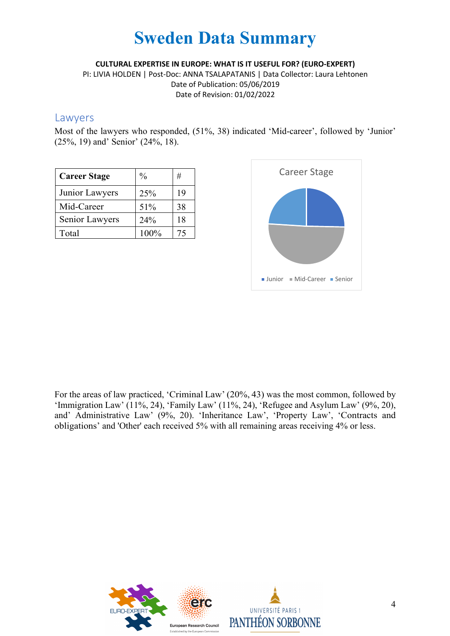**CULTURAL EXPERTISE IN EUROPE: WHAT IS IT USEFUL FOR? (EURO-EXPERT)**

PI: LIVIA HOLDEN | Post-Doc: ANNA TSALAPATANIS | Data Collector: Laura Lehtonen Date of Publication: 05/06/2019 Date of Revision: 01/02/2022

#### Lawyers

Most of the lawyers who responded, (51%, 38) indicated 'Mid-career', followed by 'Junior' (25%, 19) and' Senior' (24%, 18).

| <b>Career Stage</b> | $\frac{0}{0}$ | #  |
|---------------------|---------------|----|
| Junior Lawyers      | 25%           | 19 |
| Mid-Career          | 51%           | 38 |
| Senior Lawyers      | 24%           | 18 |
| Total               | 100%          | 75 |



For the areas of law practiced, 'Criminal Law' (20%, 43) was the most common, followed by 'Immigration Law' (11%, 24), 'Family Law' (11%, 24), 'Refugee and Asylum Law' (9%, 20), and' Administrative Law' (9%, 20). 'Inheritance Law', 'Property Law', 'Contracts and obligations' and 'Other' each received 5% with all remaining areas receiving 4% or less.



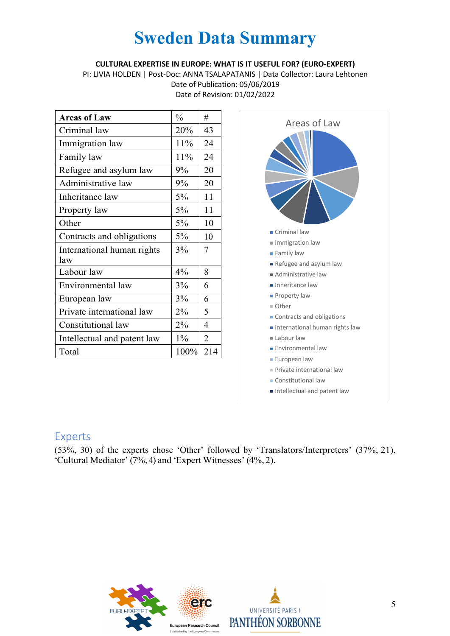#### **CULTURAL EXPERTISE IN EUROPE: WHAT IS IT USEFUL FOR? (EURO-EXPERT)**

PI: LIVIA HOLDEN | Post-Doc: ANNA TSALAPATANIS | Data Collector: Laura Lehtonen Date of Publication: 05/06/2019

Date of Revision: 01/02/2022

| <b>Areas of Law</b>               | $\frac{0}{0}$ | #              |
|-----------------------------------|---------------|----------------|
| Criminal law                      | 20%           | 43             |
| Immigration law                   | 11%           | 24             |
| Family law                        | 11%           | 24             |
| Refugee and asylum law            | 9%            | 20             |
| Administrative law                | 9%            | 20             |
| Inheritance law                   | 5%            | 11             |
| Property law                      | 5%            | 11             |
| Other                             | 5%            | 10             |
| Contracts and obligations         | 5%            | 10             |
| International human rights<br>law | 3%            | 7              |
| Labour law                        | 4%            | 8              |
| Environmental law                 | 3%            | 6              |
| European law                      | 3%            | 6              |
| Private international law         | 2%            | 5              |
| Constitutional law                | 2%            | 4              |
| Intellectual and patent law       | $1\%$         | $\overline{2}$ |
| Total                             | $100\%$       | 214            |



#### Intellectual and patent law

### Experts

(53%, 30) of the experts chose 'Other' followed by 'Translators/Interpreters' (37%, 21), 'Cultural Mediator' (7%,4) and 'Expert Witnesses' (4%, 2).



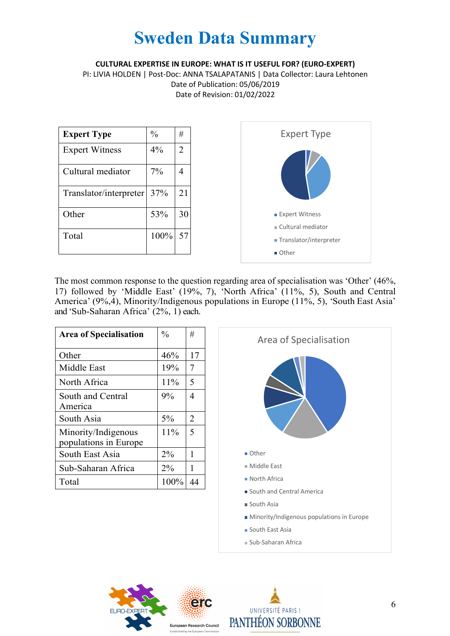**CULTURAL EXPERTISE IN EUROPE: WHAT IS IT USEFUL FOR? (EURO-EXPERT)**

PI: LIVIA HOLDEN | Post-Doc: ANNA TSALAPATANIS | Data Collector: Laura Lehtonen Date of Publication: 05/06/2019 Date of Revision: 01/02/2022



The most common response to the question regarding area of specialisation was 'Other' (46%, 17) followed by 'Middle East' (19%, 7), 'North Africa' (11%, 5), South and Central America' (9%,4), Minority/Indigenous populations in Europe (11%, 5), 'South East Asia' and 'Sub-Saharan Africa' (2%, 1) each.

| <b>Area of Specialisation</b>                | $\frac{0}{0}$ | #              |
|----------------------------------------------|---------------|----------------|
| Other                                        | 46%           | 17             |
| Middle East                                  | 19%           | $\overline{7}$ |
| North Africa                                 | 11%           | 5              |
| South and Central<br>America                 | $9\%$         | 4              |
| South Asia                                   | $5\%$         | $\overline{2}$ |
| Minority/Indigenous<br>populations in Europe | 11%           | 5              |
| South East Asia                              | $2\%$         | 1              |
| Sub-Saharan Africa                           | 2%            | 1              |
| Total                                        | 100%          | 44             |





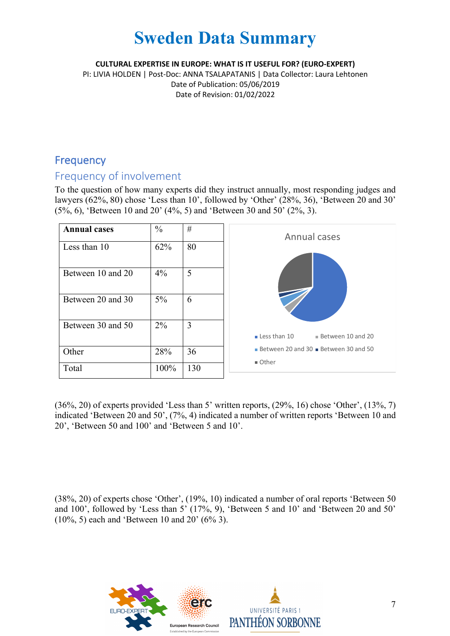**CULTURAL EXPERTISE IN EUROPE: WHAT IS IT USEFUL FOR? (EURO-EXPERT)**

PI: LIVIA HOLDEN | Post-Doc: ANNA TSALAPATANIS | Data Collector: Laura Lehtonen Date of Publication: 05/06/2019 Date of Revision: 01/02/2022

### **Frequency**

### Frequency of involvement

To the question of how many experts did they instruct annually, most responding judges and lawyers (62%, 80) chose 'Less than 10', followed by 'Other' (28%, 36), 'Between 20 and 30' (5%, 6), 'Between 10 and 20' (4%, 5) and 'Between 30 and 50' (2%, 3).

| <b>Annual cases</b> | $\frac{0}{0}$ | #   | Annual cases                                     |
|---------------------|---------------|-----|--------------------------------------------------|
| Less than 10        | 62%           | 80  |                                                  |
| Between 10 and 20   | $4\%$         | 5   |                                                  |
| Between 20 and 30   | $5\%$         | 6   |                                                  |
| Between 30 and 50   | $2\%$         | 3   |                                                  |
|                     |               |     | $\blacksquare$ Less than 10<br>Between 10 and 20 |
| Other               | 28%           | 36  | Between 20 and 30 Between 30 and 50<br>■ Other   |
| Total               | 100%          | 130 |                                                  |

(36%, 20) of experts provided 'Less than 5' written reports, (29%, 16) chose 'Other', (13%, 7) indicated 'Between 20 and 50', (7%, 4) indicated a number of written reports 'Between 10 and 20', 'Between 50 and 100' and 'Between 5 and 10'.

(38%, 20) of experts chose 'Other', (19%, 10) indicated a number of oral reports 'Between 50 and 100', followed by 'Less than 5' (17%, 9), 'Between 5 and 10' and 'Between 20 and 50' (10%, 5) each and 'Between 10 and 20' (6% 3).

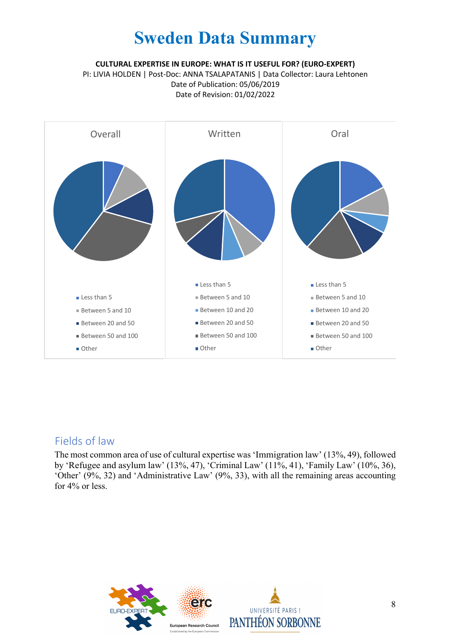**CULTURAL EXPERTISE IN EUROPE: WHAT IS IT USEFUL FOR? (EURO-EXPERT)**

PI: LIVIA HOLDEN | Post-Doc: ANNA TSALAPATANIS | Data Collector: Laura Lehtonen Date of Publication: 05/06/2019 Date of Revision: 01/02/2022



### Fields of law

The most common area of use of cultural expertise was 'Immigration law' (13%, 49), followed by 'Refugee and asylum law' (13%, 47), 'Criminal Law' (11%, 41), 'Family Law' (10%, 36), 'Other' (9%, 32) and 'Administrative Law' (9%, 33), with all the remaining areas accounting for 4% or less.

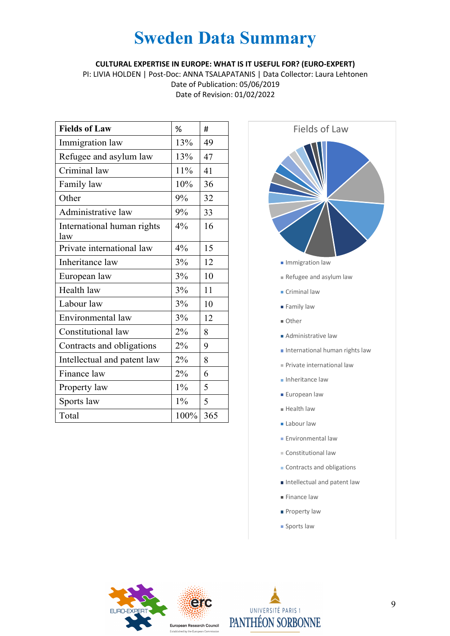**CULTURAL EXPERTISE IN EUROPE: WHAT IS IT USEFUL FOR? (EURO-EXPERT)**

PI: LIVIA HOLDEN | Post-Doc: ANNA TSALAPATANIS | Data Collector: Laura Lehtonen Date of Publication: 05/06/2019 Date of Revision: 01/02/2022

| <b>Fields of Law</b>              | %     | #   |
|-----------------------------------|-------|-----|
| Immigration law                   | 13%   | 49  |
| Refugee and asylum law            | 13%   | 47  |
| Criminal law                      | 11%   | 41  |
| Family law                        | 10%   | 36  |
| Other                             | 9%    | 32  |
| Administrative law                | 9%    | 33  |
| International human rights<br>law | 4%    | 16  |
| Private international law         | 4%    | 15  |
| Inheritance law                   | 3%    | 12  |
| European law                      | 3%    | 10  |
| Health law                        | 3%    | 11  |
| Labour law                        | 3%    | 10  |
| Environmental law                 | 3%    | 12  |
| Constitutional law                | 2%    | 8   |
| Contracts and obligations         | 2%    | 9   |
| Intellectual and patent law       | 2%    | 8   |
| Finance law                       | 2%    | 6   |
| Property law                      | $1\%$ | 5   |
| Sports law                        | $1\%$ | 5   |
| Total                             | 100%  | 365 |



- **Criminal law**
- **Family law**
- Other
- Administrative law
- $\blacksquare$  International human rights law
- Private international law
- **Inheritance law**
- **European law**
- **Health law**
- **Labour law**
- **Environmental law**
- Constitutional law
- Contracts and obligations
- Intellectual and patent law
- Finance law
- **Property law**
- **Sports law**



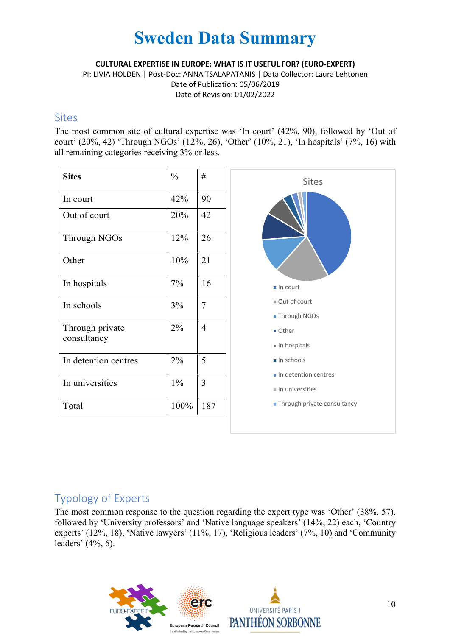**CULTURAL EXPERTISE IN EUROPE: WHAT IS IT USEFUL FOR? (EURO-EXPERT)**

PI: LIVIA HOLDEN | Post-Doc: ANNA TSALAPATANIS | Data Collector: Laura Lehtonen Date of Publication: 05/06/2019 Date of Revision: 01/02/2022

### **Sites**

The most common site of cultural expertise was 'In court' (42%, 90), followed by 'Out of court' (20%, 42) 'Through NGOs' (12%, 26), 'Other' (10%, 21), 'In hospitals' (7%, 16) with all remaining categories receiving 3% or less.

| <b>Sites</b>                   | $\frac{0}{0}$ | #   |
|--------------------------------|---------------|-----|
| In court                       | 42%           | 90  |
| Out of court                   | 20%           | 42  |
| Through NGOs                   | 12%           | 26  |
| Other                          | 10%           | 21  |
| In hospitals                   | 7%            | 16  |
| In schools                     | 3%            | 7   |
| Through private<br>consultancy | 2%            | 4   |
| In detention centres           | 2%            | 5   |
| In universities                | $1\%$         | 3   |
| Total                          | 100%          | 187 |



### Typology of Experts

The most common response to the question regarding the expert type was 'Other' (38%, 57), followed by 'University professors' and 'Native language speakers' (14%, 22) each, 'Country experts' (12%, 18), 'Native lawyers' (11%, 17), 'Religious leaders' (7%, 10) and 'Community leaders' (4%, 6).

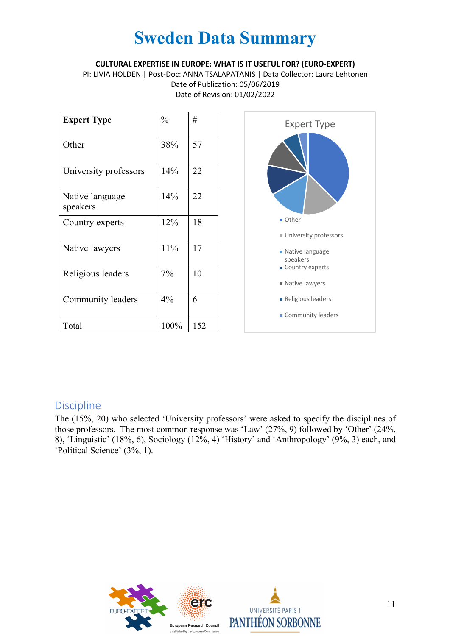#### **CULTURAL EXPERTISE IN EUROPE: WHAT IS IT USEFUL FOR? (EURO-EXPERT)**

PI: LIVIA HOLDEN | Post-Doc: ANNA TSALAPATANIS | Data Collector: Laura Lehtonen Date of Publication: 05/06/2019 Date of Revision: 01/02/2022

| <b>Expert Type</b>          | $\frac{0}{0}$ | #   |
|-----------------------------|---------------|-----|
| Other                       | 38%           | 57  |
| University professors       | 14%           | 22  |
| Native language<br>speakers | 14%           | 22  |
| Country experts             | 12%           | 18  |
| Native lawyers              | 11%           | 17  |
| Religious leaders           | $7\%$         | 10  |
| Community leaders           | 4%            | 6   |
| Total                       | 100%          | 152 |



### Discipline

The (15%, 20) who selected 'University professors' were asked to specify the disciplines of those professors. The most common response was 'Law' (27%, 9) followed by 'Other' (24%, 8), 'Linguistic' (18%, 6), Sociology (12%, 4) 'History' and 'Anthropology' (9%, 3) each, and 'Political Science' (3%, 1).



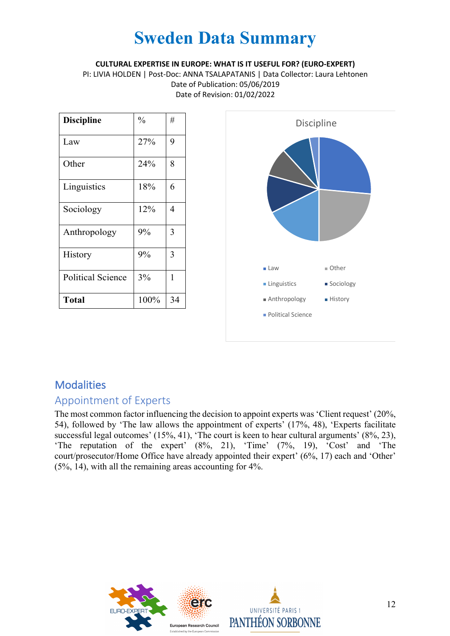**CULTURAL EXPERTISE IN EUROPE: WHAT IS IT USEFUL FOR? (EURO-EXPERT)**

PI: LIVIA HOLDEN | Post-Doc: ANNA TSALAPATANIS | Data Collector: Laura Lehtonen Date of Publication: 05/06/2019 Date of Revision: 01/02/2022

| <b>Discipline</b>        | $\frac{0}{0}$ | #  |
|--------------------------|---------------|----|
| Law                      | 27%           | 9  |
| Other                    | 24%           | 8  |
| Linguistics              | 18%           | 6  |
| Sociology                | 12%           | 4  |
| Anthropology             | 9%            | 3  |
| History                  | 9%            | 3  |
| <b>Political Science</b> | 3%            | 1  |
| <b>Total</b>             | 100%          | 34 |



## **Modalities**

### Appointment of Experts

The most common factor influencing the decision to appoint experts was 'Client request' (20%, 54), followed by 'The law allows the appointment of experts' (17%, 48), 'Experts facilitate successful legal outcomes' (15%, 41), 'The court is keen to hear cultural arguments' (8%, 23), 'The reputation of the expert' (8%, 21), 'Time' (7%, 19), 'Cost' and 'The court/prosecutor/Home Office have already appointed their expert' (6%, 17) each and 'Other' (5%, 14), with all the remaining areas accounting for 4%.



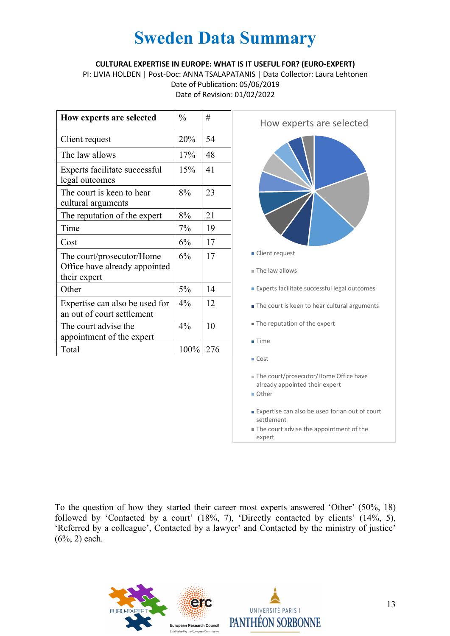#### **CULTURAL EXPERTISE IN EUROPE: WHAT IS IT USEFUL FOR? (EURO-EXPERT)**

PI: LIVIA HOLDEN | Post-Doc: ANNA TSALAPATANIS | Data Collector: Laura Lehtonen Date of Publication: 05/06/2019 Date of Revision: 01/02/2022

| How experts are selected                                                   | $\frac{0}{0}$ | #   |
|----------------------------------------------------------------------------|---------------|-----|
| Client request                                                             | 20%           | 54  |
| The law allows                                                             | 17%           | 48  |
| Experts facilitate successful<br>legal outcomes                            | 15%           | 41  |
| The court is keen to hear<br>cultural arguments                            | 8%            | 23  |
| The reputation of the expert                                               | 8%            | 21  |
| Time                                                                       | 7%            | 19  |
| Cost                                                                       | 6%            | 17  |
| The court/prosecutor/Home<br>Office have already appointed<br>their expert | 6%            | 17  |
| Other                                                                      | 5%            | 14  |
| Expertise can also be used for<br>an out of court settlement               | $4\%$         | 12  |
| The court advise the<br>appointment of the expert                          | 4%            | 10  |
| Total                                                                      | 100%          | 276 |



To the question of how they started their career most experts answered 'Other' (50%, 18) followed by 'Contacted by a court' (18%, 7), 'Directly contacted by clients' (14%, 5), 'Referred by a colleague', Contacted by a lawyer' and Contacted by the ministry of justice' (6%, 2) each.



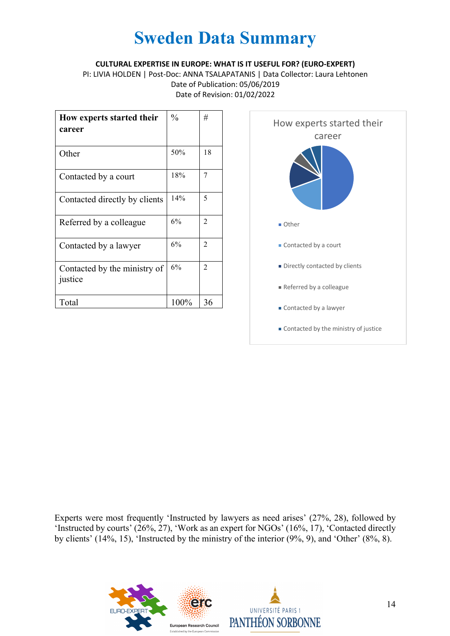#### **CULTURAL EXPERTISE IN EUROPE: WHAT IS IT USEFUL FOR? (EURO-EXPERT)**

PI: LIVIA HOLDEN | Post-Doc: ANNA TSALAPATANIS | Data Collector: Laura Lehtonen Date of Publication: 05/06/2019 Date of Revision: 01/02/2022

| How experts started their<br>career     | $\frac{0}{0}$ | #  |
|-----------------------------------------|---------------|----|
| Other                                   | 50%           | 18 |
| Contacted by a court                    | 18%           | 7  |
| Contacted directly by clients           | 14%           | 5  |
| Referred by a colleague                 | 6%            | 2  |
| Contacted by a lawyer                   | 6%            | 2  |
| Contacted by the ministry of<br>justice | 6%            | 2  |
| Total                                   | 100%          | 36 |



Experts were most frequently 'Instructed by lawyers as need arises' (27%, 28), followed by 'Instructed by courts' (26%, 27), 'Work as an expert for NGOs' (16%, 17), 'Contacted directly by clients' (14%, 15), 'Instructed by the ministry of the interior (9%, 9), and 'Other' (8%, 8).



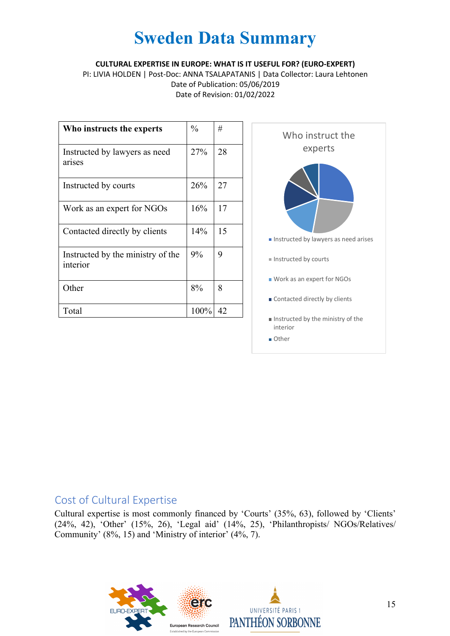#### **CULTURAL EXPERTISE IN EUROPE: WHAT IS IT USEFUL FOR? (EURO-EXPERT)**

PI: LIVIA HOLDEN | Post-Doc: ANNA TSALAPATANIS | Data Collector: Laura Lehtonen Date of Publication: 05/06/2019 Date of Revision: 01/02/2022

| Who instructs the experts                     | $\frac{0}{0}$ | #  |
|-----------------------------------------------|---------------|----|
| Instructed by lawyers as need<br>arises       | 27%           | 28 |
| Instructed by courts                          | 26%           | 27 |
| Work as an expert for NGOs                    | 16%           | 17 |
| Contacted directly by clients                 | 14%           | 15 |
| Instructed by the ministry of the<br>interior | 9%            | 9  |
| Other                                         | 8%            | 8  |
| Total                                         | 100%          | 42 |



### Cost of Cultural Expertise

Cultural expertise is most commonly financed by 'Courts' (35%, 63), followed by 'Clients' (24%, 42), 'Other' (15%, 26), 'Legal aid' (14%, 25), 'Philanthropists/ NGOs/Relatives/ Community' (8%, 15) and 'Ministry of interior' (4%, 7).

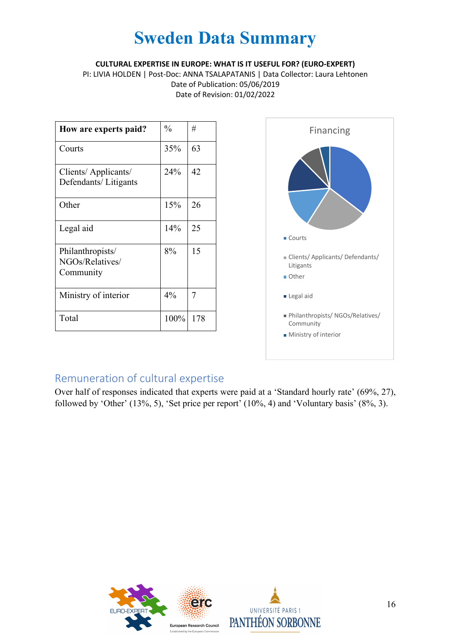**CULTURAL EXPERTISE IN EUROPE: WHAT IS IT USEFUL FOR? (EURO-EXPERT)**

PI: LIVIA HOLDEN | Post-Doc: ANNA TSALAPATANIS | Data Collector: Laura Lehtonen Date of Publication: 05/06/2019 Date of Revision: 01/02/2022

| How are experts paid?                            | $\frac{0}{0}$ | #   |
|--------------------------------------------------|---------------|-----|
| Courts                                           | 35%           | 63  |
| Clients/Applicants/<br>Defendants/Litigants      | 24%           | 42  |
| Other                                            | 15%           | 26  |
| Legal aid                                        | 14%           | 25  |
| Philanthropists/<br>NGOs/Relatives/<br>Community | 8%            | 15  |
| Ministry of interior                             | $4\%$         | 7   |
| Total                                            | 100%          | 178 |



## Remuneration of cultural expertise

Over half of responses indicated that experts were paid at a 'Standard hourly rate' (69%, 27), followed by 'Other' (13%, 5), 'Set price per report' (10%, 4) and 'Voluntary basis' (8%, 3).



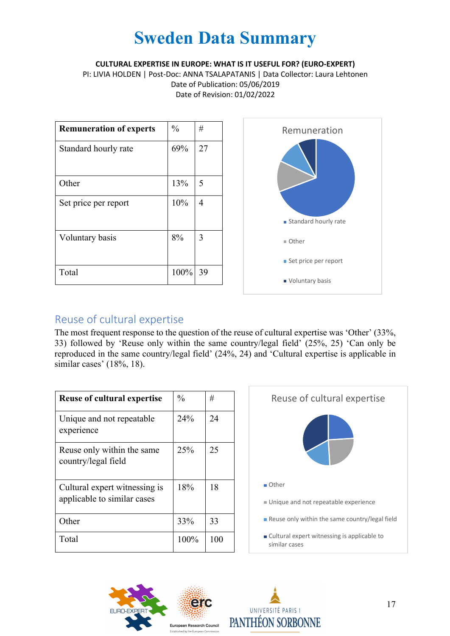**CULTURAL EXPERTISE IN EUROPE: WHAT IS IT USEFUL FOR? (EURO-EXPERT)**

PI: LIVIA HOLDEN | Post-Doc: ANNA TSALAPATANIS | Data Collector: Laura Lehtonen Date of Publication: 05/06/2019 Date of Revision: 01/02/2022

| <b>Remuneration of experts</b> | $\frac{0}{0}$ | #  |
|--------------------------------|---------------|----|
| Standard hourly rate           | 69%           | 27 |
|                                |               |    |
| Other                          | 13%           | 5  |
| Set price per report           | 10%           | 4  |
| Voluntary basis                | 8%            | 3  |
| Total                          | 100%          | 39 |



### Reuse of cultural expertise

The most frequent response to the question of the reuse of cultural expertise was 'Other' (33%, 33) followed by 'Reuse only within the same country/legal field' (25%, 25) 'Can only be reproduced in the same country/legal field' (24%, 24) and 'Cultural expertise is applicable in similar cases' (18%, 18).

| <b>Reuse of cultural expertise</b>                           | $\frac{0}{0}$ | #   |
|--------------------------------------------------------------|---------------|-----|
| Unique and not repeatable<br>experience                      | 24%           | 24  |
| Reuse only within the same<br>country/legal field            | 25%           | 25  |
| Cultural expert witnessing is<br>applicable to similar cases | 18%           | 18  |
| Other                                                        | 33%           | 33  |
| Total                                                        | 100%          | 100 |





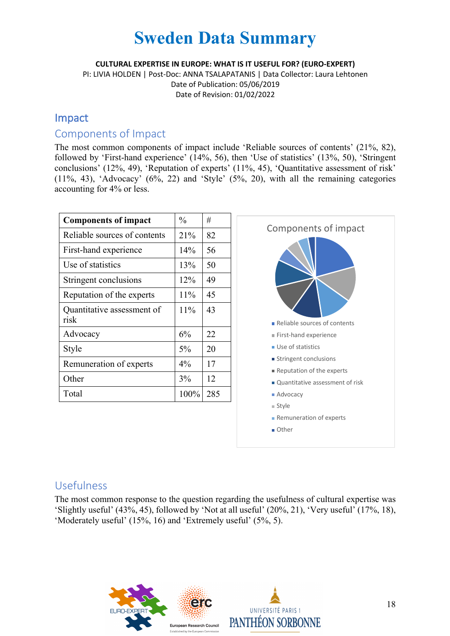**CULTURAL EXPERTISE IN EUROPE: WHAT IS IT USEFUL FOR? (EURO-EXPERT)**

PI: LIVIA HOLDEN | Post-Doc: ANNA TSALAPATANIS | Data Collector: Laura Lehtonen Date of Publication: 05/06/2019 Date of Revision: 01/02/2022

### Impact

### Components of Impact

The most common components of impact include 'Reliable sources of contents' (21%, 82), followed by 'First-hand experience' (14%, 56), then 'Use of statistics' (13%, 50), 'Stringent conclusions' (12%, 49), 'Reputation of experts' (11%, 45), 'Quantitative assessment of risk'  $(11\%, 43)$ , 'Advocacy'  $(6\%, 22)$  and 'Style'  $(5\%, 20)$ , with all the remaining categories accounting for 4% or less.

| <b>Components of impact</b>  | $\frac{0}{0}$ | #   |
|------------------------------|---------------|-----|
| Reliable sources of contents | 21%           | 82  |
| First-hand experience        | 14%           | 56  |
| Use of statistics            | 13%           | 50  |
| Stringent conclusions        | 12%           | 49  |
| Reputation of the experts    | 11%           | 45  |
| Quantitative assessment of   | 11%           | 43  |
| risk                         |               |     |
| Advocacy                     | 6%            | 22  |
| Style                        | $5\%$         | 20  |
| Remuneration of experts      | $4\%$         | 17  |
| Other                        | 3%            | 12  |
|                              |               |     |
| Total                        | 100%          | 285 |
|                              |               |     |
|                              |               |     |

■ Other

### Usefulness

The most common response to the question regarding the usefulness of cultural expertise was 'Slightly useful' (43%, 45), followed by 'Not at all useful' (20%, 21), 'Very useful' (17%, 18), 'Moderately useful' (15%, 16) and 'Extremely useful' (5%, 5).



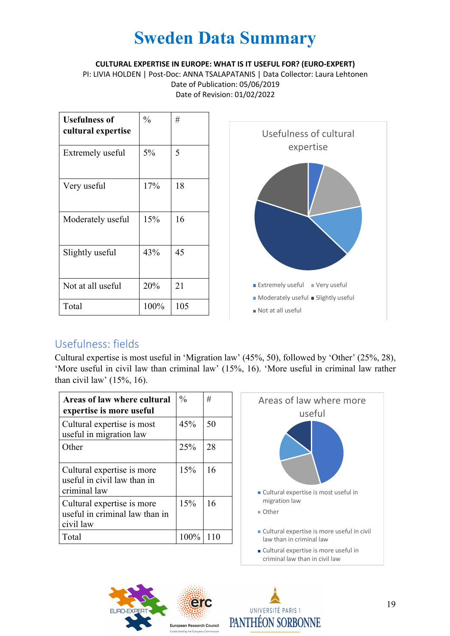**CULTURAL EXPERTISE IN EUROPE: WHAT IS IT USEFUL FOR? (EURO-EXPERT)**

PI: LIVIA HOLDEN | Post-Doc: ANNA TSALAPATANIS | Data Collector: Laura Lehtonen Date of Publication: 05/06/2019 Date of Revision: 01/02/2022

| <b>Usefulness of</b><br>cultural expertise | $\frac{0}{0}$ | #   |
|--------------------------------------------|---------------|-----|
| Extremely useful                           | 5%            | 5   |
| Very useful                                | 17%           | 18  |
| Moderately useful                          | 15%           | 16  |
| Slightly useful                            | 43%           | 45  |
| Not at all useful                          | 20%           | 21  |
| Total                                      | 100%          | 105 |



### Usefulness: fields

Cultural expertise is most useful in 'Migration law' (45%, 50), followed by 'Other' (25%, 28), 'More useful in civil law than criminal law' (15%, 16). 'More useful in criminal law rather than civil law'  $(15\%, 16)$ .

| Areas of law where cultural<br>expertise is more useful                   | $\frac{0}{0}$ | #  |
|---------------------------------------------------------------------------|---------------|----|
| Cultural expertise is most<br>useful in migration law                     | 45%           | 50 |
| Other                                                                     | 25%           | 28 |
| Cultural expertise is more<br>useful in civil law than in<br>criminal law | 15%           | 16 |
| Cultural expertise is more<br>useful in criminal law than in<br>civil law | 15%           | 16 |
| Total                                                                     | 100%          |    |





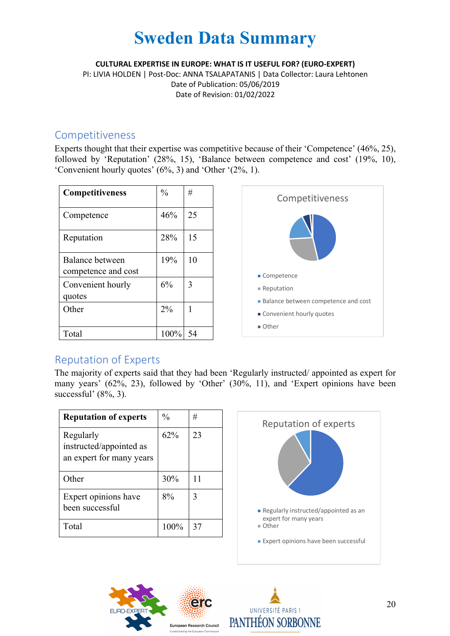**CULTURAL EXPERTISE IN EUROPE: WHAT IS IT USEFUL FOR? (EURO-EXPERT)**

PI: LIVIA HOLDEN | Post-Doc: ANNA TSALAPATANIS | Data Collector: Laura Lehtonen Date of Publication: 05/06/2019 Date of Revision: 01/02/2022

### Competitiveness

Experts thought that their expertise was competitive because of their 'Competence' (46%, 25), followed by 'Reputation' (28%, 15), 'Balance between competence and cost' (19%, 10), 'Convenient hourly quotes' (6%, 3) and 'Other '(2%, 1).

| <b>Competitiveness</b>                 | $\frac{0}{0}$ | #  |
|----------------------------------------|---------------|----|
| Competence                             | 46%           | 25 |
| Reputation                             | 28%           | 15 |
| Balance between<br>competence and cost | 19%           | 10 |
| Convenient hourly<br>quotes            | 6%            | 3  |
| Other                                  | $2\%$         |    |
| Total                                  | 100%          | 54 |



### Reputation of Experts

The majority of experts said that they had been 'Regularly instructed/ appointed as expert for many years' (62%, 23), followed by 'Other' (30%, 11), and 'Expert opinions have been successful' (8%, 3).

| <b>Reputation of experts</b>                                     | $\frac{0}{0}$ | #  |
|------------------------------------------------------------------|---------------|----|
| Regularly<br>instructed/appointed as<br>an expert for many years | 62%           | 23 |
| Other                                                            | 30%           | 11 |
| Expert opinions have<br>been successful                          | 8%            | 3  |
| Total                                                            | 100%          | 37 |





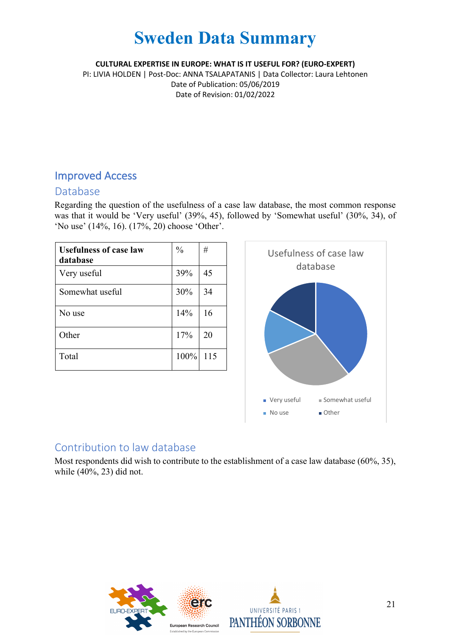**CULTURAL EXPERTISE IN EUROPE: WHAT IS IT USEFUL FOR? (EURO-EXPERT)**

PI: LIVIA HOLDEN | Post-Doc: ANNA TSALAPATANIS | Data Collector: Laura Lehtonen Date of Publication: 05/06/2019 Date of Revision: 01/02/2022

### Improved Access

### Database

Regarding the question of the usefulness of a case law database, the most common response was that it would be 'Very useful' (39%, 45), followed by 'Somewhat useful' (30%, 34), of 'No use' (14%, 16). (17%, 20) choose 'Other'.

| <b>Usefulness of case law</b><br>database | $\frac{0}{0}$ | #   |
|-------------------------------------------|---------------|-----|
| Very useful                               | 39%           | 45  |
| Somewhat useful                           | 30%           | 34  |
| No use                                    | 14%           | 16  |
| Other                                     | 17%           | 20  |
| Total                                     | 100%          | 115 |



### Contribution to law database

Most respondents did wish to contribute to the establishment of a case law database (60%, 35), while (40%, 23) did not.



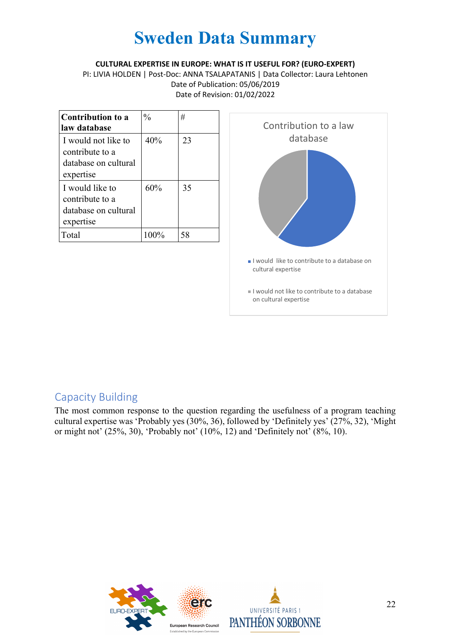#### **CULTURAL EXPERTISE IN EUROPE: WHAT IS IT USEFUL FOR? (EURO-EXPERT)**

PI: LIVIA HOLDEN | Post-Doc: ANNA TSALAPATANIS | Data Collector: Laura Lehtonen Date of Publication: 05/06/2019 Date of Revision: 01/02/2022

| <b>Contribution to a</b><br>law database                                    | $\frac{0}{0}$ | #  |
|-----------------------------------------------------------------------------|---------------|----|
| I would not like to<br>contribute to a<br>database on cultural<br>expertise | 40%           | 23 |
| I would like to<br>contribute to a<br>database on cultural<br>expertise     | 60%           | 35 |
| Total                                                                       | $100\%$       | 58 |



### Capacity Building

The most common response to the question regarding the usefulness of a program teaching cultural expertise was 'Probably yes (30%, 36), followed by 'Definitely yes' (27%, 32), 'Might or might not' (25%, 30), 'Probably not' (10%, 12) and 'Definitely not' (8%, 10).

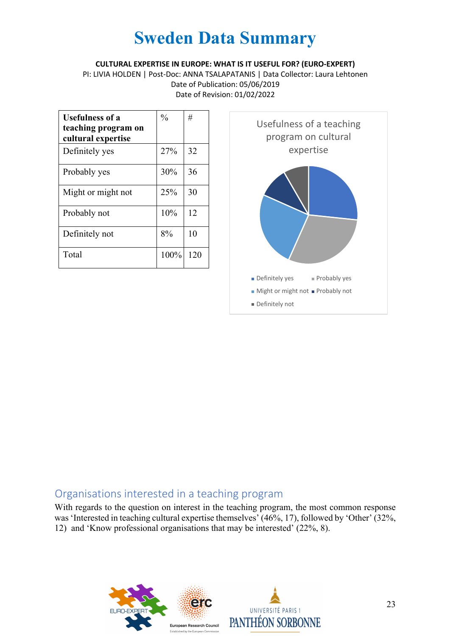**CULTURAL EXPERTISE IN EUROPE: WHAT IS IT USEFUL FOR? (EURO-EXPERT)**

PI: LIVIA HOLDEN | Post-Doc: ANNA TSALAPATANIS | Data Collector: Laura Lehtonen Date of Publication: 05/06/2019 Date of Revision: 01/02/2022

| <b>Usefulness of a</b><br>teaching program on<br>cultural expertise | $\frac{0}{0}$ | #   |
|---------------------------------------------------------------------|---------------|-----|
| Definitely yes                                                      | 27%           | 32  |
| Probably yes                                                        | 30%           | 36  |
| Might or might not                                                  | 25%           | 30  |
| Probably not                                                        | 10%           | 12  |
| Definitely not                                                      | 8%            | 10  |
| Total                                                               | 100%          | 120 |



### Organisations interested in a teaching program

With regards to the question on interest in the teaching program, the most common response was'Interested in teaching cultural expertise themselves' (46%, 17), followed by 'Other' (32%, 12) and 'Know professional organisations that may be interested' (22%, 8).